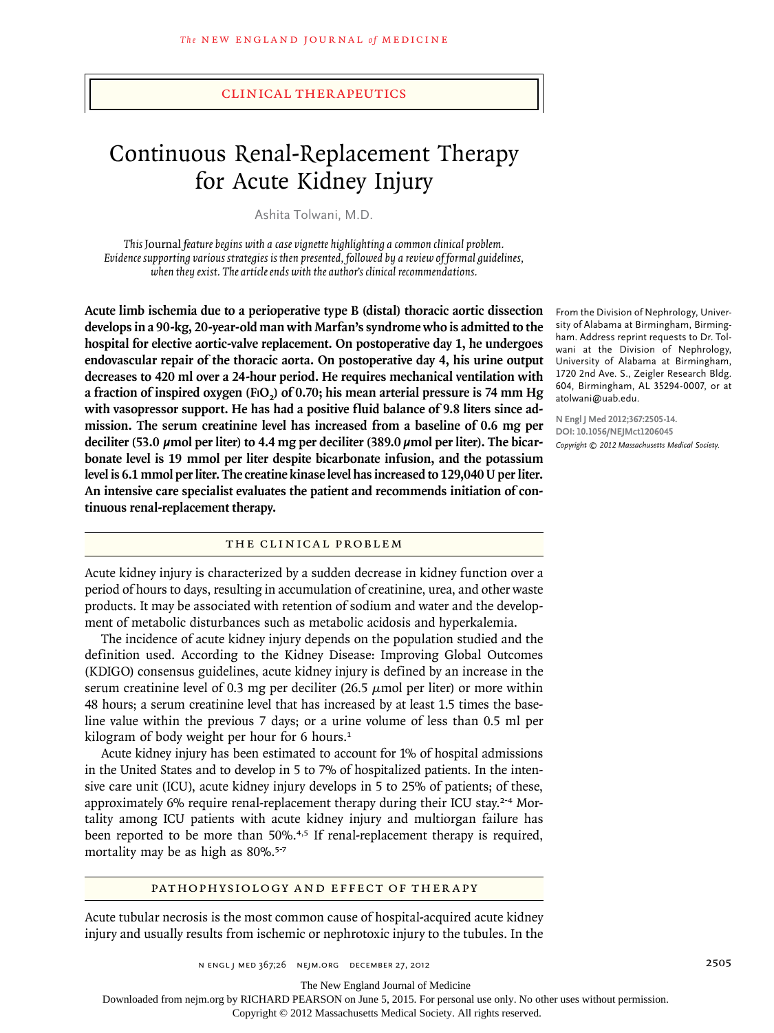# Continuous Renal-Replacement Therapy for Acute Kidney Injury

Ashita Tolwani, M.D.

*This* Journal *feature begins with a case vignette highlighting a common clinical problem. Evidence supporting various strategies is then presented, followed by a review of formal guidelines, when they exist. The article ends with the author's clinical recommendations.*

**Acute limb ischemia due to a perioperative type B (distal) thoracic aortic dissection develops in a 90-kg, 20-year-old man with Marfan's syndrome who is admitted to the hospital for elective aortic-valve replacement. On postoperative day 1, he undergoes endovascular repair of the thoracic aorta. On postoperative day 4, his urine output decreases to 420 ml over a 24-hour period. He requires mechanical ventilation with a fraction of inspired oxygen (FiO2) of 0.70; his mean arterial pressure is 74 mm Hg with vasopressor support. He has had a positive fluid balance of 9.8 liters since admission. The serum creatinine level has increased from a baseline of 0.6 mg per deciliter (53.0 µmol per liter) to 4.4 mg per deciliter (389.0 µmol per liter). The bicarbonate level is 19 mmol per liter despite bicarbonate infusion, and the potassium level is 6.1 mmol per liter. The creatine kinase level has increased to 129,040 U per liter. An intensive care specialist evaluates the patient and recommends initiation of continuous renal-replacement therapy.**

# THE CLINICAL PROBLEM

Acute kidney injury is characterized by a sudden decrease in kidney function over a period of hours to days, resulting in accumulation of creatinine, urea, and other waste products. It may be associated with retention of sodium and water and the development of metabolic disturbances such as metabolic acidosis and hyperkalemia.

The incidence of acute kidney injury depends on the population studied and the definition used. According to the Kidney Disease: Improving Global Outcomes (KDIGO) consensus guidelines, acute kidney injury is defined by an increase in the serum creatinine level of 0.3 mg per deciliter  $(26.5 \mu \text{mol})$  per liter) or more within 48 hours; a serum creatinine level that has increased by at least 1.5 times the baseline value within the previous 7 days; or a urine volume of less than 0.5 ml per kilogram of body weight per hour for 6 hours.<sup>1</sup>

Acute kidney injury has been estimated to account for 1% of hospital admissions in the United States and to develop in 5 to 7% of hospitalized patients. In the intensive care unit (ICU), acute kidney injury develops in 5 to 25% of patients; of these, approximately 6% require renal-replacement therapy during their ICU stay.<sup>2-4</sup> Mortality among ICU patients with acute kidney injury and multiorgan failure has been reported to be more than 50%.<sup>4,5</sup> If renal-replacement therapy is required, mortality may be as high as 80%.<sup>5-7</sup>

### PATHOPHYSIOLOGY AND EFFECT OF THERAPY

Acute tubular necrosis is the most common cause of hospital-acquired acute kidney injury and usually results from ischemic or nephrotoxic injury to the tubules. In the

From the Division of Nephrology, University of Alabama at Birmingham, Birmingham. Address reprint requests to Dr. Tolwani at the Division of Nephrology, University of Alabama at Birmingham, 1720 2nd Ave. S., Zeigler Research Bldg. 604, Birmingham, AL 35294-0007, or at atolwani@uab.edu.

**N Engl J Med 2012;367:2505-14. DOI: 10.1056/NEJMct1206045** *Copyright © 2012 Massachusetts Medical Society.*

The New England Journal of Medicine

Downloaded from nejm.org by RICHARD PEARSON on June 5, 2015. For personal use only. No other uses without permission.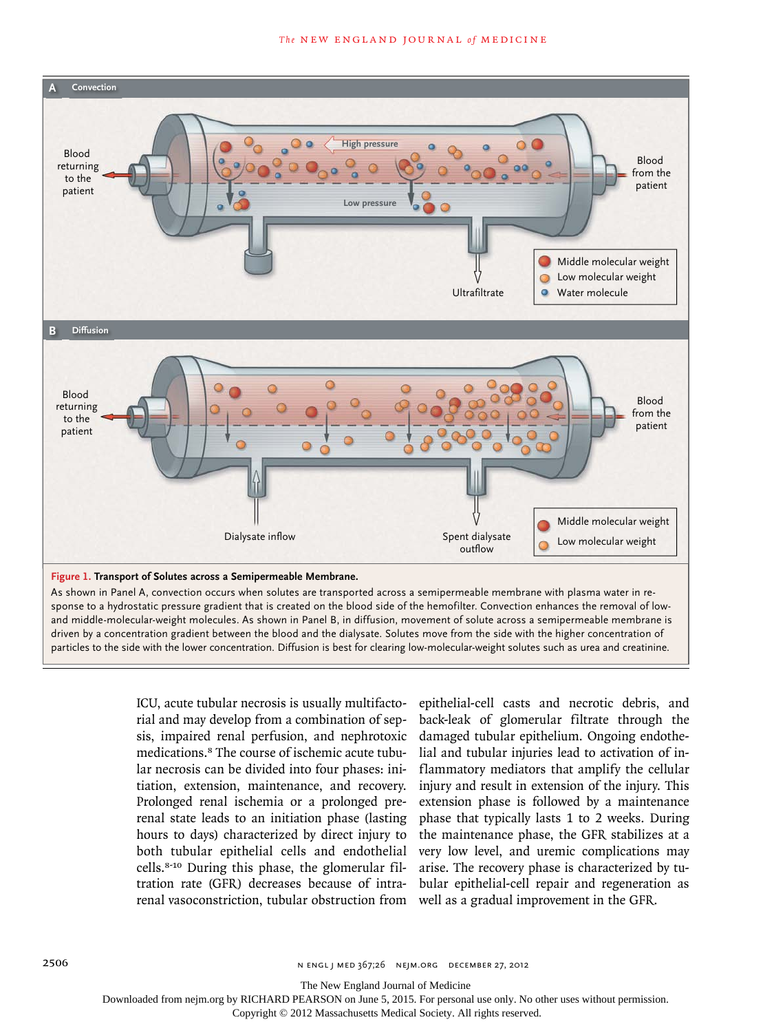

driven by a concentration gradient between the blood and the dialysate. Solutes move from the side with the higher concentration of particles to the side with the lower concentration. Diffusion is best for clearing low-molecular-weight solutes such as urea and creatinine. DE Jarcho

> ICU, acute tubular necrosis is usually multifactorial and may develop from a combination of sepsis, impaired renal perfusion, and nephrotoxic medications.8 The course of ischemic acute tubular necrosis can be divided into four phases: initiation, extension, maintenance, and recovery. Prolonged renal ischemia or a prolonged prerenal state leads to an initiation phase (lasting hours to days) characterized by direct injury to both tubular epithelial cells and endothelial cells.8‑10 During this phase, the glomerular filtration rate (GFR) decreases because of intrarenal vasoconstriction, tubular obstruction from well as a gradual improvement in the GFR.

epithelial-cell casts and necrotic debris, and hack-leak of glomerular filtrate through the damaged tubular epithelium. Ongoing endothelial and tubular injuries lead to activation of inflammatory mediators that amplify the cellular injury and result in extension of the injury. This extension phase is followed by a maintenance phase that typically lasts 1 to 2 weeks. During the maintenance phase, the GFR stabilizes at a very low level, and uremic complications may arise. The recovery phase is characterized by tubular epithelial-cell repair and regeneration as

The New England Journal of Medicine

Downloaded from nejm.org by RICHARD PEARSON on June 5, 2015. For personal use only. No other uses without permission.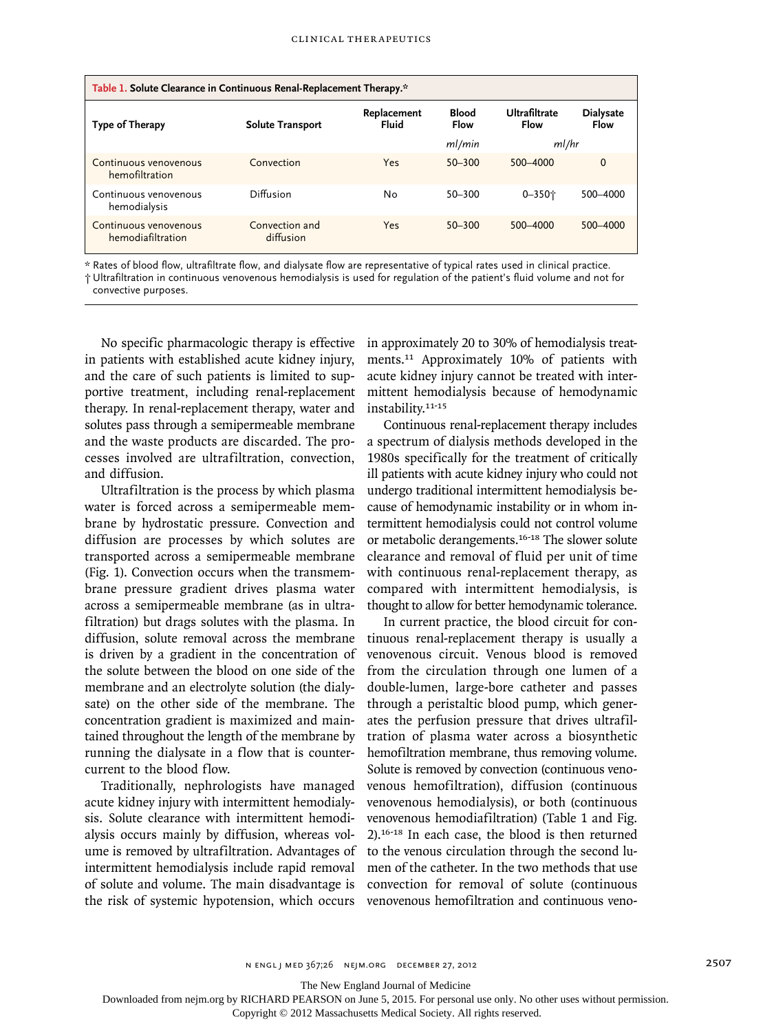| Table 1. Solute Clearance in Continuous Renal-Replacement Therapy.* |                             |                      |                             |                       |                                 |  |
|---------------------------------------------------------------------|-----------------------------|----------------------|-----------------------------|-----------------------|---------------------------------|--|
| Type of Therapy                                                     | <b>Solute Transport</b>     | Replacement<br>Fluid | <b>Blood</b><br><b>Flow</b> | Ultrafiltrate<br>Flow | <b>Dialysate</b><br><b>Flow</b> |  |
|                                                                     |                             |                      | ml/min                      | ml/hr                 |                                 |  |
| Continuous venovenous<br>hemofiltration                             | Convection                  | Yes                  | $50 - 300$                  | 500-4000              | $\mathbf 0$                     |  |
| Continuous venovenous<br>hemodialysis                               | Diffusion                   | No                   | $50 - 300$                  | $0 - 350 +$           | 500-4000                        |  |
| Continuous venovenous<br>hemodiafiltration                          | Convection and<br>diffusion | Yes                  | $50 - 300$                  | 500-4000              | 500-4000                        |  |

\* Rates of blood flow, ultrafiltrate flow, and dialysate flow are representative of typical rates used in clinical practice.

† Ultrafiltration in continuous venovenous hemodialysis is used for regulation of the patient's fluid volume and not for convective purposes.

No specific pharmacologic therapy is effective in patients with established acute kidney injury, and the care of such patients is limited to supportive treatment, including renal-replacement therapy. In renal-replacement therapy, water and solutes pass through a semipermeable membrane and the waste products are discarded. The processes involved are ultrafiltration, convection, and diffusion.

Ultrafiltration is the process by which plasma water is forced across a semipermeable membrane by hydrostatic pressure. Convection and diffusion are processes by which solutes are transported across a semipermeable membrane (Fig. 1). Convection occurs when the transmembrane pressure gradient drives plasma water across a semipermeable membrane (as in ultrafiltration) but drags solutes with the plasma. In diffusion, solute removal across the membrane is driven by a gradient in the concentration of the solute between the blood on one side of the membrane and an electrolyte solution (the dialysate) on the other side of the membrane. The concentration gradient is maximized and maintained throughout the length of the membrane by running the dialysate in a flow that is countercurrent to the blood flow.

Traditionally, nephrologists have managed acute kidney injury with intermittent hemodialysis. Solute clearance with intermittent hemodialysis occurs mainly by diffusion, whereas volume is removed by ultrafiltration. Advantages of intermittent hemodialysis include rapid removal of solute and volume. The main disadvantage is the risk of systemic hypotension, which occurs in approximately 20 to 30% of hemodialysis treatments.11 Approximately 10% of patients with acute kidney injury cannot be treated with intermittent hemodialysis because of hemodynamic instability.<sup>11-15</sup>

Continuous renal-replacement therapy includes a spectrum of dialysis methods developed in the 1980s specifically for the treatment of critically ill patients with acute kidney injury who could not undergo traditional intermittent hemodialysis because of hemodynamic instability or in whom intermittent hemodialysis could not control volume or metabolic derangements.16-18 The slower solute clearance and removal of fluid per unit of time with continuous renal-replacement therapy, as compared with intermittent hemodialysis, is thought to allow for better hemodynamic tolerance.

In current practice, the blood circuit for continuous renal-replacement therapy is usually a venovenous circuit. Venous blood is removed from the circulation through one lumen of a double-lumen, large-bore catheter and passes through a peristaltic blood pump, which generates the perfusion pressure that drives ultrafiltration of plasma water across a biosynthetic hemofiltration membrane, thus removing volume. Solute is removed by convection (continuous venovenous hemofiltration), diffusion (continuous venovenous hemodialysis), or both (continuous venovenous hemodiafiltration) (Table 1 and Fig. 2).16-18 In each case, the blood is then returned to the venous circulation through the second lumen of the catheter. In the two methods that use convection for removal of solute (continuous venovenous hemofiltration and continuous veno-

n engl j med 367;26 nejm.org december 27, 2012 2507

The New England Journal of Medicine

Downloaded from nejm.org by RICHARD PEARSON on June 5, 2015. For personal use only. No other uses without permission.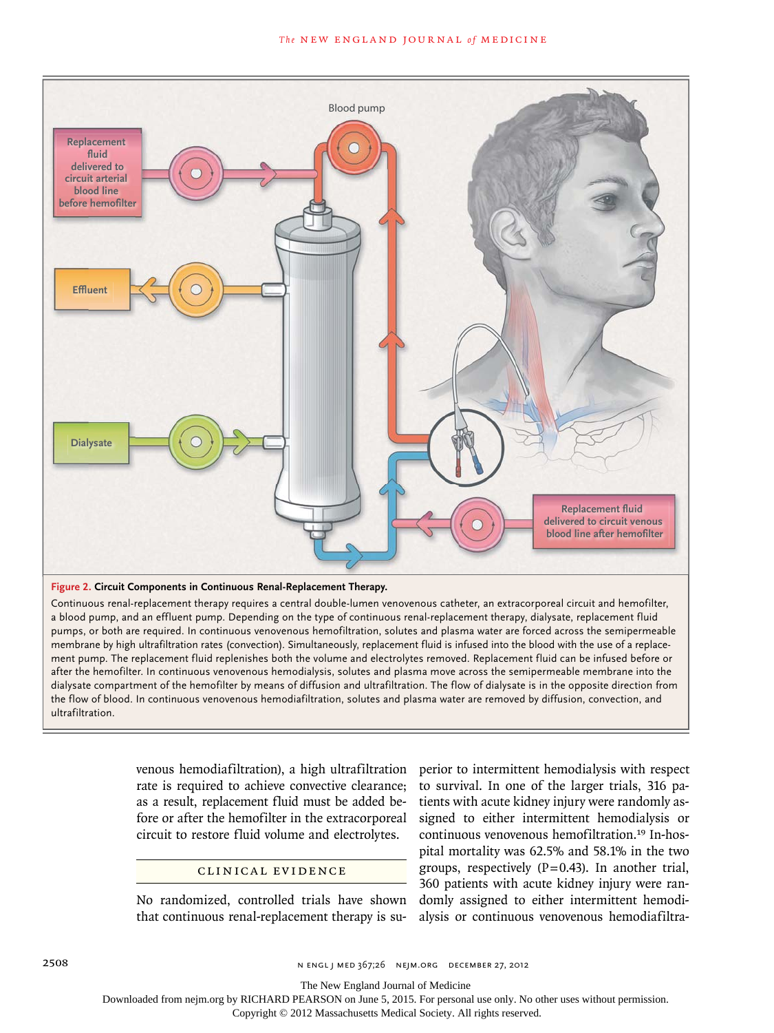

#### **Figure 2. Circuit Components in Continuous Renal-Replacement Therapy.**

pumps, or both are required. In continuous venovenous hemofiltration, solutes and plasma water are forced across the semipermeable Continuous renal-replacement therapy requires a central double-lumen venovenous catheter, an extracorporeal circuit and hemofilter, alaysate comparement of the nontinuous y means of amasion and and material means of exactysate is in the opposite ancellom nome<br>the flow of blood. In continuous venovenous hemodiafiltration, solutes and plasma water are re a blood pump, and an effluent pump. Depending on the type of continuous renal-replacement therapy, dialysate, replacement fluid membrane by high ultrafiltration rates (convection). Simultaneously, replacement fluid is infused into the blood with the use of a replacement pump. The replacement fluid replenishes both the volume and electrolytes removed. Replacement fluid can be infused before or after the hemofilter. In continuous venovenous hemodialysis, solutes and plasma move across the semipermeable membrane into the Artist Knoper dialysate compartment of the hemofilter by means of diffusion and ultrafiltration. The flow of dialysate is in the opposite direction from ultrafiltration.

> venous hemodiafiltration), a high ultrafiltration rate is required to achieve convective clearance; as a result, replacement fluid must be added before or after the hemofilter in the extracorporeal circuit to restore fluid volume and electrolytes.

#### CLINICAL EVIDENCE

No randomized, controlled trials have shown that continuous renal-replacement therapy is superior to intermittent hemodialysis with respect to survival. In one of the larger trials, 316 patients with acute kidney injury were randomly assigned to either intermittent hemodialysis or continuous venovenous hemofiltration.<sup>19</sup> In-hospital mortality was 62.5% and 58.1% in the two groups, respectively  $(P=0.43)$ . In another trial, 360 patients with acute kidney injury were randomly assigned to either intermittent hemodialysis or continuous venovenous hemodiafiltra-

2508 n engl j med 367;26 nejm.org december 27, 2012

The New England Journal of Medicine

Downloaded from nejm.org by RICHARD PEARSON on June 5, 2015. For personal use only. No other uses without permission.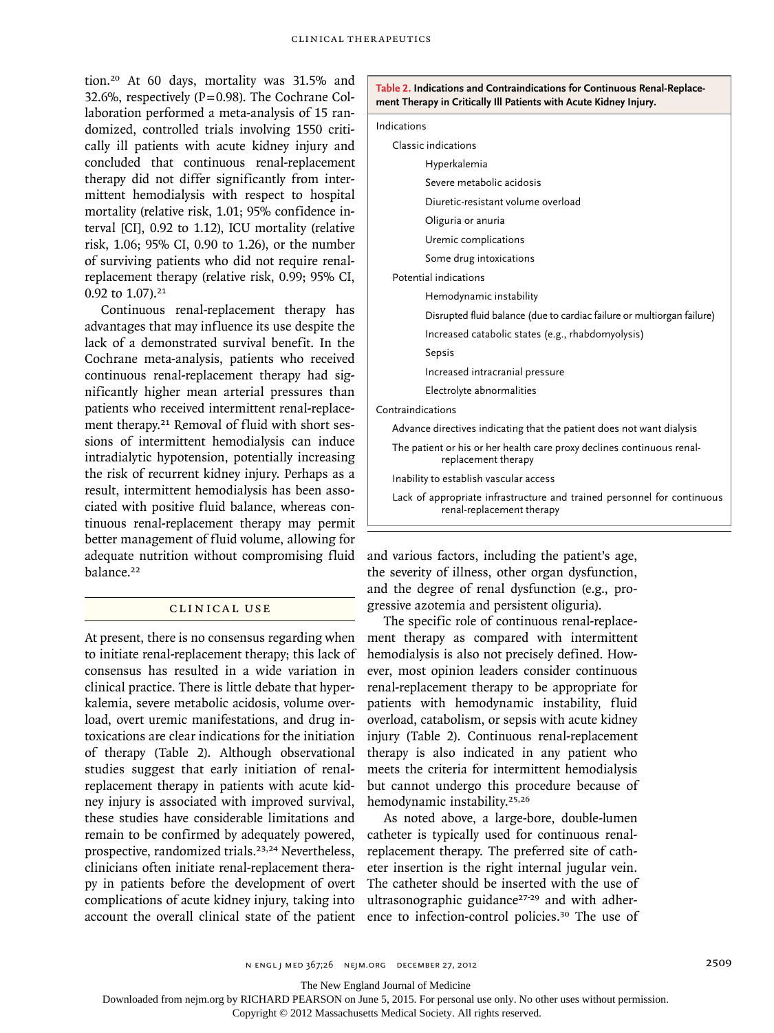tion.<sup>20</sup> At 60 days, mortality was 31.5% and 32.6%, respectively ( $P=0.98$ ). The Cochrane Collaboration performed a meta-analysis of 15 randomized, controlled trials involving 1550 critically ill patients with acute kidney injury and concluded that continuous renal-replacement therapy did not differ significantly from intermittent hemodialysis with respect to hospital mortality (relative risk, 1.01; 95% confidence interval [CI], 0.92 to 1.12), ICU mortality (relative risk, 1.06; 95% CI, 0.90 to 1.26), or the number of surviving patients who did not require renalreplacement therapy (relative risk, 0.99; 95% CI, 0.92 to 1.07).<sup>21</sup>

Continuous renal-replacement therapy has advantages that may influence its use despite the lack of a demonstrated survival benefit. In the Cochrane meta-analysis, patients who received continuous renal-replacement therapy had significantly higher mean arterial pressures than patients who received intermittent renal-replacement therapy.<sup>21</sup> Removal of fluid with short sessions of intermittent hemodialysis can induce intradialytic hypotension, potentially increasing the risk of recurrent kidney injury. Perhaps as a result, intermittent hemodialysis has been associated with positive fluid balance, whereas continuous renal-replacement therapy may permit better management of fluid volume, allowing for adequate nutrition without compromising fluid balance.<sup>22</sup>

# Clinic a l Use

At present, there is no consensus regarding when to initiate renal-replacement therapy; this lack of consensus has resulted in a wide variation in clinical practice. There is little debate that hyperkalemia, severe metabolic acidosis, volume overload, overt uremic manifestations, and drug intoxications are clear indications for the initiation of therapy (Table 2). Although observational studies suggest that early initiation of renalreplacement therapy in patients with acute kidney injury is associated with improved survival, these studies have considerable limitations and remain to be confirmed by adequately powered, prospective, randomized trials.<sup>23,24</sup> Nevertheless, clinicians often initiate renal-replacement therapy in patients before the development of overt complications of acute kidney injury, taking into account the overall clinical state of the patient

| ment Therapy in Critically Ill Patients with Acute Kidney Injury. |                                                                                                      |  |  |
|-------------------------------------------------------------------|------------------------------------------------------------------------------------------------------|--|--|
| Indications                                                       |                                                                                                      |  |  |
|                                                                   | Classic indications                                                                                  |  |  |
|                                                                   | Hyperkalemia                                                                                         |  |  |
|                                                                   | Severe metabolic acidosis                                                                            |  |  |
|                                                                   | Diuretic-resistant volume overload                                                                   |  |  |
|                                                                   | Oliguria or anuria                                                                                   |  |  |
|                                                                   | Uremic complications                                                                                 |  |  |
|                                                                   | Some drug intoxications                                                                              |  |  |
|                                                                   | Potential indications                                                                                |  |  |
|                                                                   | Hemodynamic instability                                                                              |  |  |
|                                                                   | Disrupted fluid balance (due to cardiac failure or multiorgan failure)                               |  |  |
|                                                                   | Increased catabolic states (e.g., rhabdomyolysis)                                                    |  |  |
|                                                                   | Sepsis                                                                                               |  |  |
|                                                                   | Increased intracranial pressure                                                                      |  |  |
|                                                                   | Electrolyte abnormalities                                                                            |  |  |
| Contraindications                                                 |                                                                                                      |  |  |
|                                                                   | Advance directives indicating that the patient does not want dialysis                                |  |  |
|                                                                   | The patient or his or her health care proxy declines continuous renal-<br>replacement therapy        |  |  |
|                                                                   | Inability to establish vascular access                                                               |  |  |
|                                                                   | Lack of appropriate infrastructure and trained personnel for continuous<br>renal-replacement therapy |  |  |

**Table 2. Indications and Contraindications for Continuous Renal-Replace-**

and various factors, including the patient's age, the severity of illness, other organ dysfunction, and the degree of renal dysfunction (e.g., progressive azotemia and persistent oliguria).

The specific role of continuous renal-replacement therapy as compared with intermittent hemodialysis is also not precisely defined. However, most opinion leaders consider continuous renal-replacement therapy to be appropriate for patients with hemodynamic instability, fluid overload, catabolism, or sepsis with acute kidney injury (Table 2). Continuous renal-replacement therapy is also indicated in any patient who meets the criteria for intermittent hemodialysis but cannot undergo this procedure because of hemodynamic instability.25,26

As noted above, a large-bore, double-lumen catheter is typically used for continuous renalreplacement therapy. The preferred site of catheter insertion is the right internal jugular vein. The catheter should be inserted with the use of ultrasonographic guidance<sup>27-29</sup> and with adherence to infection-control policies.30 The use of

The New England Journal of Medicine

Downloaded from nejm.org by RICHARD PEARSON on June 5, 2015. For personal use only. No other uses without permission.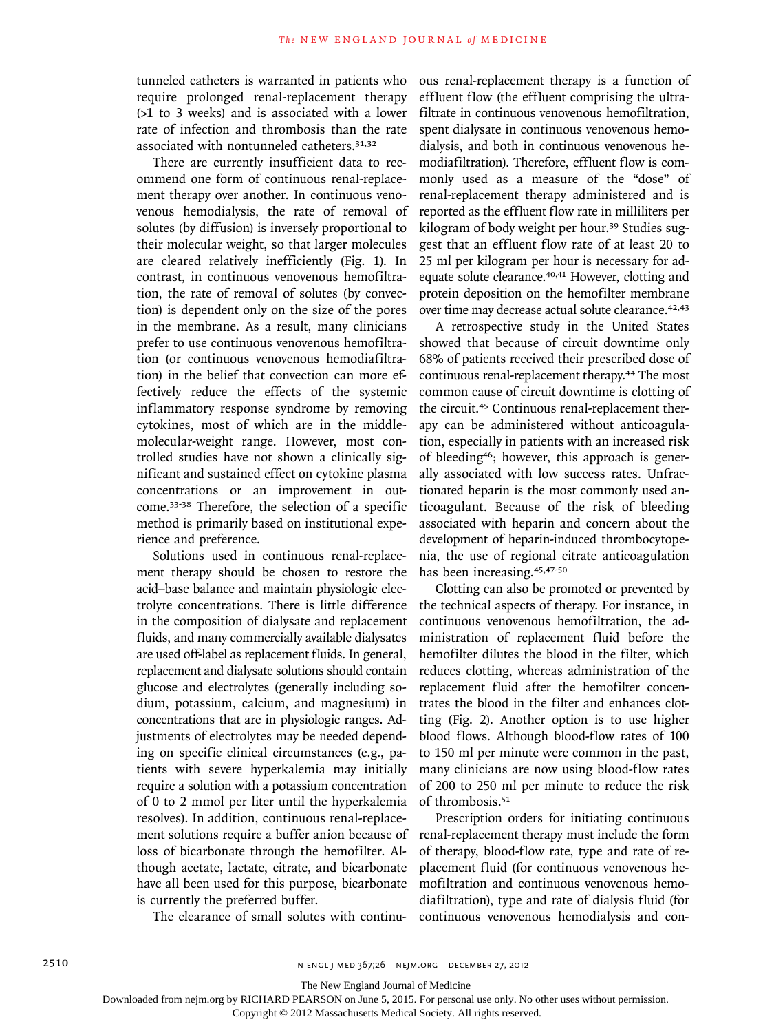tunneled catheters is warranted in patients who require prolonged renal-replacement therapy (>1 to 3 weeks) and is associated with a lower rate of infection and thrombosis than the rate associated with nontunneled catheters.31,32

There are currently insufficient data to recommend one form of continuous renal-replacement therapy over another. In continuous venovenous hemodialysis, the rate of removal of solutes (by diffusion) is inversely proportional to their molecular weight, so that larger molecules are cleared relatively inefficiently (Fig. 1). In contrast, in continuous venovenous hemofiltration, the rate of removal of solutes (by convection) is dependent only on the size of the pores in the membrane. As a result, many clinicians prefer to use continuous venovenous hemofiltration (or continuous venovenous hemodiafiltration) in the belief that convection can more effectively reduce the effects of the systemic inflammatory response syndrome by removing cytokines, most of which are in the middlemolecular-weight range. However, most controlled studies have not shown a clinically significant and sustained effect on cytokine plasma concentrations or an improvement in outcome.33-38 Therefore, the selection of a specific method is primarily based on institutional experience and preference.

Solutions used in continuous renal-replacement therapy should be chosen to restore the acid–base balance and maintain physiologic electrolyte concentrations. There is little difference in the composition of dialysate and replacement fluids, and many commercially available dialysates are used off-label as replacement fluids. In general, replacement and dialysate solutions should contain glucose and electrolytes (generally including sodium, potassium, calcium, and magnesium) in concentrations that are in physiologic ranges. Adjustments of electrolytes may be needed depending on specific clinical circumstances (e.g., patients with severe hyperkalemia may initially require a solution with a potassium concentration of 0 to 2 mmol per liter until the hyperkalemia resolves). In addition, continuous renal-replacement solutions require a buffer anion because of loss of bicarbonate through the hemofilter. Although acetate, lactate, citrate, and bicarbonate have all been used for this purpose, bicarbonate is currently the preferred buffer.

The clearance of small solutes with continu-

ous renal-replacement therapy is a function of effluent flow (the effluent comprising the ultrafiltrate in continuous venovenous hemofiltration, spent dialysate in continuous venovenous hemodialysis, and both in continuous venovenous hemodiafiltration). Therefore, effluent flow is commonly used as a measure of the "dose" of renal-replacement therapy administered and is reported as the effluent flow rate in milliliters per kilogram of body weight per hour.<sup>39</sup> Studies suggest that an effluent flow rate of at least 20 to 25 ml per kilogram per hour is necessary for adequate solute clearance.<sup>40,41</sup> However, clotting and protein deposition on the hemofilter membrane over time may decrease actual solute clearance.42,43

A retrospective study in the United States showed that because of circuit downtime only 68% of patients received their prescribed dose of continuous renal-replacement therapy.44 The most common cause of circuit downtime is clotting of the circuit.45 Continuous renal-replacement therapy can be administered without anticoagulation, especially in patients with an increased risk of bleeding46; however, this approach is generally associated with low success rates. Unfractionated heparin is the most commonly used anticoagulant. Because of the risk of bleeding associated with heparin and concern about the development of heparin-induced thrombocytopenia, the use of regional citrate anticoagulation has been increasing.45,47-50

Clotting can also be promoted or prevented by the technical aspects of therapy. For instance, in continuous venovenous hemofiltration, the administration of replacement fluid before the hemofilter dilutes the blood in the filter, which reduces clotting, whereas administration of the replacement fluid after the hemofilter concentrates the blood in the filter and enhances clotting (Fig. 2). Another option is to use higher blood flows. Although blood-flow rates of 100 to 150 ml per minute were common in the past, many clinicians are now using blood-flow rates of 200 to 250 ml per minute to reduce the risk of thrombosis.<sup>51</sup>

Prescription orders for initiating continuous renal-replacement therapy must include the form of therapy, blood-flow rate, type and rate of replacement fluid (for continuous venovenous hemofiltration and continuous venovenous hemodiafiltration), type and rate of dialysis fluid (for continuous venovenous hemodialysis and con-

The New England Journal of Medicine

Downloaded from nejm.org by RICHARD PEARSON on June 5, 2015. For personal use only. No other uses without permission.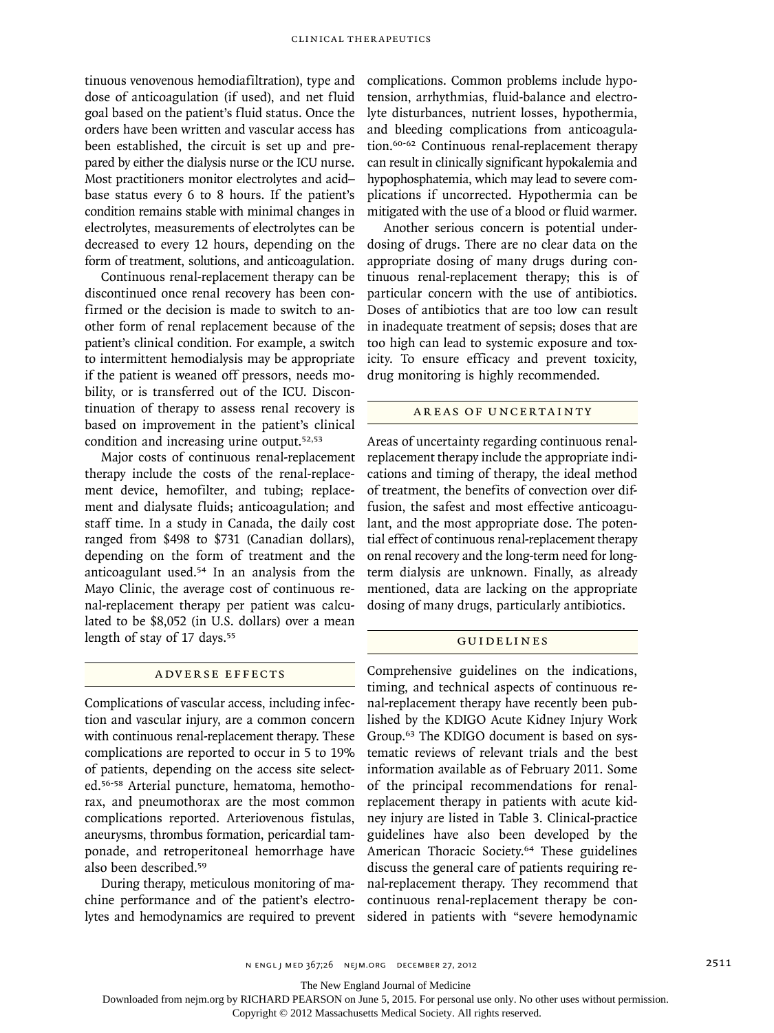tinuous venovenous hemodiafiltration), type and dose of anticoagulation (if used), and net fluid goal based on the patient's fluid status. Once the orders have been written and vascular access has been established, the circuit is set up and prepared by either the dialysis nurse or the ICU nurse. Most practitioners monitor electrolytes and acid– base status every 6 to 8 hours. If the patient's condition remains stable with minimal changes in electrolytes, measurements of electrolytes can be decreased to every 12 hours, depending on the form of treatment, solutions, and anticoagulation.

Continuous renal-replacement therapy can be discontinued once renal recovery has been confirmed or the decision is made to switch to another form of renal replacement because of the patient's clinical condition. For example, a switch to intermittent hemodialysis may be appropriate if the patient is weaned off pressors, needs mobility, or is transferred out of the ICU. Discontinuation of therapy to assess renal recovery is based on improvement in the patient's clinical condition and increasing urine output.52,53

Major costs of continuous renal-replacement therapy include the costs of the renal-replacement device, hemofilter, and tubing; replacement and dialysate fluids; anticoagulation; and staff time. In a study in Canada, the daily cost ranged from \$498 to \$731 (Canadian dollars), depending on the form of treatment and the anticoagulant used.54 In an analysis from the Mayo Clinic, the average cost of continuous renal-replacement therapy per patient was calculated to be \$8,052 (in U.S. dollars) over a mean length of stay of 17 days.<sup>55</sup>

## A DVERSE EFFECTS

Complications of vascular access, including infection and vascular injury, are a common concern with continuous renal-replacement therapy. These complications are reported to occur in 5 to 19% of patients, depending on the access site selected.56-58 Arterial puncture, hematoma, hemothorax, and pneumothorax are the most common complications reported. Arteriovenous fistulas, aneurysms, thrombus formation, pericardial tamponade, and retroperitoneal hemorrhage have also been described.<sup>59</sup>

During therapy, meticulous monitoring of machine performance and of the patient's electrolytes and hemodynamics are required to prevent

complications. Common problems include hypotension, arrhythmias, fluid-balance and electrolyte disturbances, nutrient losses, hypothermia, and bleeding complications from anticoagulation.60-62 Continuous renal-replacement therapy can result in clinically significant hypokalemia and hypophosphatemia, which may lead to severe complications if uncorrected. Hypothermia can be mitigated with the use of a blood or fluid warmer.

Another serious concern is potential underdosing of drugs. There are no clear data on the appropriate dosing of many drugs during continuous renal-replacement therapy; this is of particular concern with the use of antibiotics. Doses of antibiotics that are too low can result in inadequate treatment of sepsis; doses that are too high can lead to systemic exposure and toxicity. To ensure efficacy and prevent toxicity, drug monitoring is highly recommended.

# AREAS OF UNCERTAINTY

Areas of uncertainty regarding continuous renalreplacement therapy include the appropriate indications and timing of therapy, the ideal method of treatment, the benefits of convection over diffusion, the safest and most effective anticoagulant, and the most appropriate dose. The potential effect of continuous renal-replacement therapy on renal recovery and the long-term need for longterm dialysis are unknown. Finally, as already mentioned, data are lacking on the appropriate dosing of many drugs, particularly antibiotics.

#### Guidelines

Comprehensive guidelines on the indications, timing, and technical aspects of continuous renal-replacement therapy have recently been published by the KDIGO Acute Kidney Injury Work Group.63 The KDIGO document is based on systematic reviews of relevant trials and the best information available as of February 2011. Some of the principal recommendations for renalreplacement therapy in patients with acute kidney injury are listed in Table 3. Clinical-practice guidelines have also been developed by the American Thoracic Society.<sup>64</sup> These guidelines discuss the general care of patients requiring renal-replacement therapy. They recommend that continuous renal-replacement therapy be considered in patients with "severe hemodynamic

The New England Journal of Medicine

Downloaded from nejm.org by RICHARD PEARSON on June 5, 2015. For personal use only. No other uses without permission.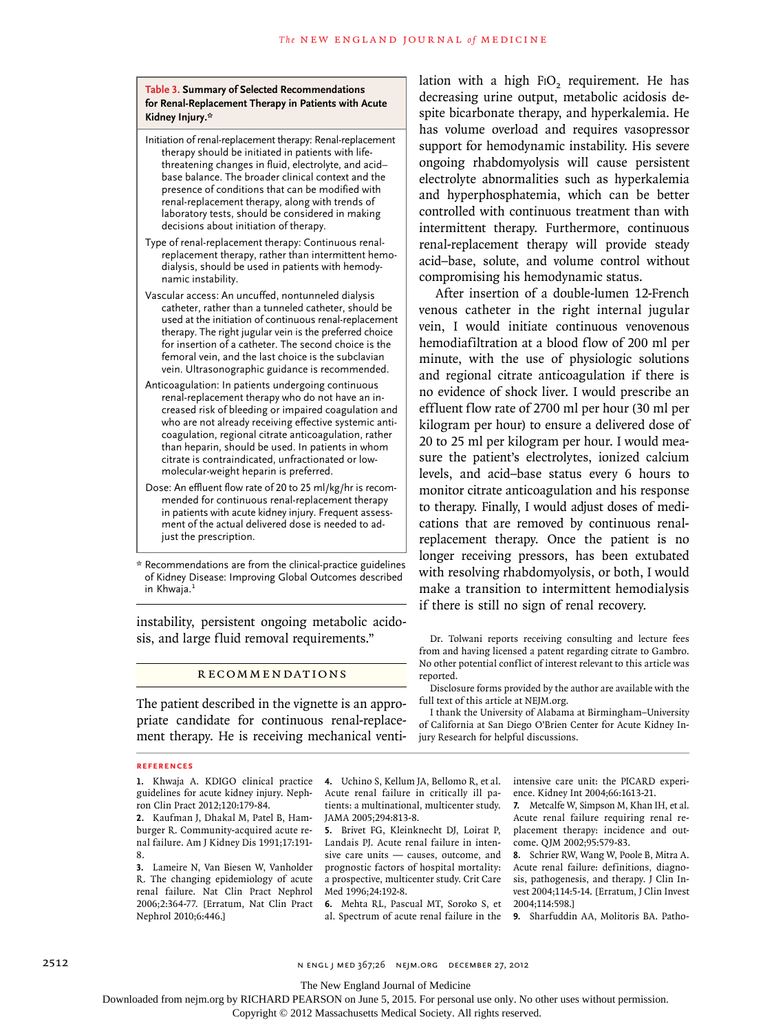#### **Table 3. Summary of Selected Recommendations for Renal-Replacement Therapy in Patients with Acute Kidney Injury.\***

- Initiation of renal-replacement therapy: Renal-replacement therapy should be initiated in patients with lifethreatening changes in fluid, electrolyte, and acid– base balance. The broader clinical context and the presence of conditions that can be modified with renal-replacement therapy, along with trends of laboratory tests, should be considered in making decisions about initiation of therapy.
- Type of renal-replacement therapy: Continuous renalreplacement therapy, rather than intermittent hemodialysis, should be used in patients with hemodynamic instability.
- Vascular access: An uncuffed, nontunneled dialysis catheter, rather than a tunneled catheter, should be used at the initiation of continuous renal-replacement therapy. The right jugular vein is the preferred choice for insertion of a catheter. The second choice is the femoral vein, and the last choice is the subclavian vein. Ultrasonographic guidance is recommended.
- Anticoagulation: In patients undergoing continuous renal-replacement therapy who do not have an increased risk of bleeding or impaired coagulation and who are not already receiving effective systemic anticoagulation, regional citrate anticoagulation, rather than heparin, should be used. In patients in whom citrate is contraindicated, unfractionated or lowmolecular-weight heparin is preferred.
- Dose: An effluent flow rate of 20 to 25 ml/kg/hr is recommended for continuous renal-replacement therapy in patients with acute kidney injury. Frequent assessment of the actual delivered dose is needed to adjust the prescription.
- \* Recommendations are from the clinical-practice guidelines of Kidney Disease: Improving Global Outcomes described in Khwaja.<sup>1</sup>

instability, persistent ongoing metabolic acidosis, and large fluid removal requirements."

#### **RECOMMENDATIONS**

The patient described in the vignette is an appropriate candidate for continuous renal-replacement therapy. He is receiving mechanical venti-

#### **References**

**1.** Khwaja A. KDIGO clinical practice guidelines for acute kidney injury. Nephron Clin Pract 2012;120:179-84.

**2.** Kaufman J, Dhakal M, Patel B, Hamburger R. Community-acquired acute renal failure. Am J Kidney Dis 1991;17:191- 8.

**3.** Lameire N, Van Biesen W, Vanholder R. The changing epidemiology of acute renal failure. Nat Clin Pract Nephrol 2006;2:364-77. [Erratum, Nat Clin Pract Nephrol 2010;6:446.]

lation with a high F<sub>IO</sub>, requirement. He has decreasing urine output, metabolic acidosis despite bicarbonate therapy, and hyperkalemia. He has volume overload and requires vasopressor support for hemodynamic instability. His severe ongoing rhabdomyolysis will cause persistent electrolyte abnormalities such as hyperkalemia and hyperphosphatemia, which can be better controlled with continuous treatment than with intermittent therapy. Furthermore, continuous renal-replacement therapy will provide steady acid–base, solute, and volume control without compromising his hemodynamic status.

After insertion of a double-lumen 12-French venous catheter in the right internal jugular vein, I would initiate continuous venovenous hemodiafiltration at a blood flow of 200 ml per minute, with the use of physiologic solutions and regional citrate anticoagulation if there is no evidence of shock liver. I would prescribe an effluent flow rate of 2700 ml per hour (30 ml per kilogram per hour) to ensure a delivered dose of 20 to 25 ml per kilogram per hour. I would measure the patient's electrolytes, ionized calcium levels, and acid–base status every 6 hours to monitor citrate anticoagulation and his response to therapy. Finally, I would adjust doses of medications that are removed by continuous renalreplacement therapy. Once the patient is no longer receiving pressors, has been extubated with resolving rhabdomyolysis, or both, I would make a transition to intermittent hemodialysis if there is still no sign of renal recovery.

Dr. Tolwani reports receiving consulting and lecture fees from and having licensed a patent regarding citrate to Gambro. No other potential conflict of interest relevant to this article was reported.

Disclosure forms provided by the author are available with the full text of this article at NEJM.org.

I thank the University of Alabama at Birmingham–University of California at San Diego O'Brien Center for Acute Kidney Injury Research for helpful discussions.

**4.** Uchino S, Kellum JA, Bellomo R, et al. Acute renal failure in critically ill patients: a multinational, multicenter study. JAMA 2005;294:813-8.

**5.** Brivet FG, Kleinknecht DJ, Loirat P, Landais PJ. Acute renal failure in intensive care units — causes, outcome, and prognostic factors of hospital mortality: a prospective, multicenter study. Crit Care Med 1996;24:192-8.

**6.** Mehta RL, Pascual MT, Soroko S, et al. Spectrum of acute renal failure in the

intensive care unit: the PICARD experience. Kidney Int 2004;66:1613-21.

**7.** Metcalfe W, Simpson M, Khan IH, et al. Acute renal failure requiring renal replacement therapy: incidence and outcome. QJM 2002;95:579-83.

**8.** Schrier RW, Wang W, Poole B, Mitra A. Acute renal failure: definitions, diagnosis, pathogenesis, and therapy. J Clin Invest 2004;114:5-14. [Erratum, J Clin Invest 2004;114:598.]

**9.** Sharfuddin AA, Molitoris BA. Patho-

2512 n engl j med 367;26 nejm.org december 27, 2012

The New England Journal of Medicine

Downloaded from nejm.org by RICHARD PEARSON on June 5, 2015. For personal use only. No other uses without permission.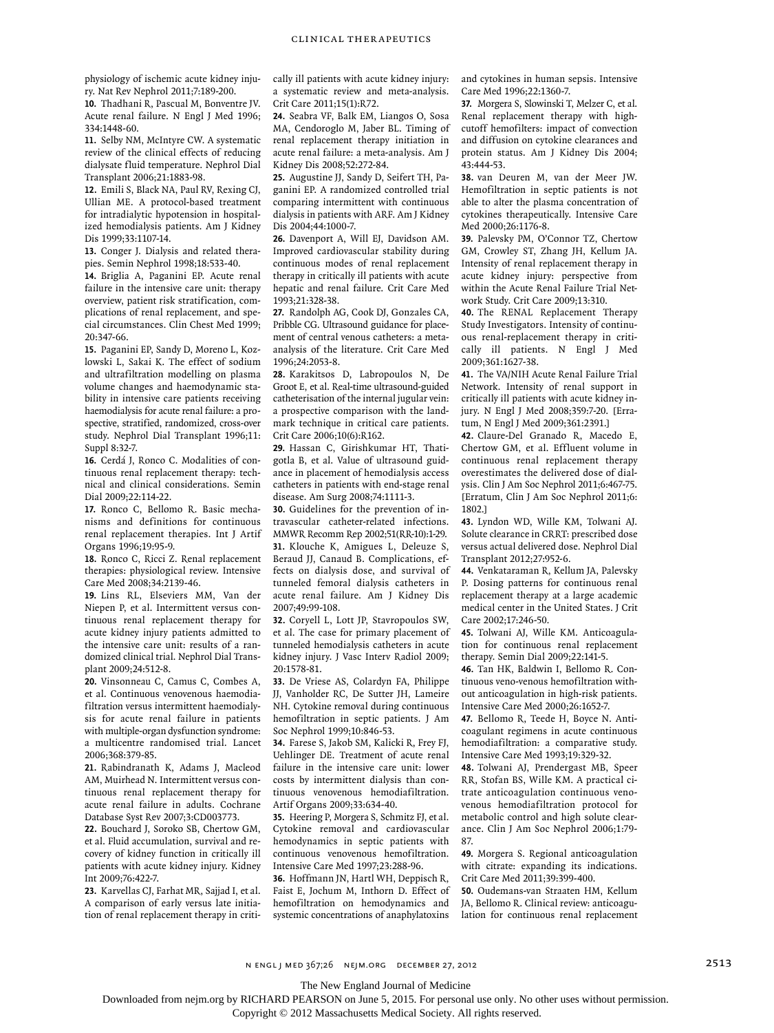physiology of ischemic acute kidney injury. Nat Rev Nephrol 2011;7:189-200.

**10.** Thadhani R, Pascual M, Bonventre JV. Acute renal failure. N Engl J Med 1996; 334:1448-60.

**11.** Selby NM, McIntyre CW. A systematic review of the clinical effects of reducing dialysate fluid temperature. Nephrol Dial Transplant 2006;21:1883-98.

**12.** Emili S, Black NA, Paul RV, Rexing CJ, Ullian ME. A protocol-based treatment for intradialytic hypotension in hospitalized hemodialysis patients. Am J Kidney Dis 1999;33:1107-14.

**13.** Conger J. Dialysis and related therapies. Semin Nephrol 1998;18:533-40.

**14.** Briglia A, Paganini EP. Acute renal failure in the intensive care unit: therapy overview, patient risk stratification, complications of renal replacement, and special circumstances. Clin Chest Med 1999; 20:347-66.

**15.** Paganini EP, Sandy D, Moreno L, Kozlowski L, Sakai K. The effect of sodium and ultrafiltration modelling on plasma volume changes and haemodynamic stability in intensive care patients receiving haemodialysis for acute renal failure: a prospective, stratified, randomized, cross-over study. Nephrol Dial Transplant 1996;11: Suppl 8:32-7.

**16.** Cerdá J, Ronco C. Modalities of continuous renal replacement therapy: technical and clinical considerations. Semin Dial 2009;22:114-22.

**17.** Ronco C, Bellomo R. Basic mechanisms and definitions for continuous renal replacement therapies. Int J Artif Organs 1996;19:95-9.

**18.** Ronco C, Ricci Z. Renal replacement therapies: physiological review. Intensive Care Med 2008;34:2139-46.

**19.** Lins RL, Elseviers MM, Van der Niepen P, et al. Intermittent versus continuous renal replacement therapy for acute kidney injury patients admitted to the intensive care unit: results of a randomized clinical trial. Nephrol Dial Transplant 2009;24:512-8.

**20.** Vinsonneau C, Camus C, Combes A, et al. Continuous venovenous haemodiafiltration versus intermittent haemodialysis for acute renal failure in patients with multiple-organ dysfunction syndrome: a multicentre randomised trial. Lancet 2006;368:379-85.

**21.** Rabindranath K, Adams J, Macleod AM, Muirhead N. Intermittent versus continuous renal replacement therapy for acute renal failure in adults. Cochrane Database Syst Rev 2007;3:CD003773.

**22.** Bouchard J, Soroko SB, Chertow GM, et al. Fluid accumulation, survival and recovery of kidney function in critically ill patients with acute kidney injury. Kidney <sub>Int 2009;76:422-7.</sub>

**23.** Karvellas CJ, Farhat MR, Sajjad I, et al. A comparison of early versus late initiation of renal replacement therapy in critically ill patients with acute kidney injury: a systematic review and meta-analysis. Crit Care 2011;15(1):R72.

**24.** Seabra VF, Balk EM, Liangos O, Sosa MA, Cendoroglo M, Jaber BL. Timing of renal replacement therapy initiation in acute renal failure: a meta-analysis. Am J Kidney Dis 2008;52:272-84.

**25.** Augustine JJ, Sandy D, Seifert TH, Paganini EP. A randomized controlled trial comparing intermittent with continuous dialysis in patients with ARF. Am J Kidney Dis 2004;44:1000-7.

**26.** Davenport A, Will EJ, Davidson AM. Improved cardiovascular stability during continuous modes of renal replacement therapy in critically ill patients with acute hepatic and renal failure. Crit Care Med 1993;21:328-38.

**27.** Randolph AG, Cook DJ, Gonzales CA, Pribble CG. Ultrasound guidance for placement of central venous catheters: a metaanalysis of the literature. Crit Care Med 1996;24:2053-8.

**28.** Karakitsos D, Labropoulos N, De Groot E, et al. Real-time ultrasound-guided catheterisation of the internal jugular vein: a prospective comparison with the landmark technique in critical care patients. Crit Care 2006;10(6):R162.

**29.** Hassan C, Girishkumar HT, Thatigotla B, et al. Value of ultrasound guidance in placement of hemodialysis access catheters in patients with end-stage renal disease. Am Surg 2008;74:1111-3.

**30.** Guidelines for the prevention of intravascular catheter-related infections. MMWR Recomm Rep 2002;51(RR-10):1-29. **31.** Klouche K, Amigues L, Deleuze S, Beraud JJ, Canaud B. Complications, effects on dialysis dose, and survival of tunneled femoral dialysis catheters in acute renal failure. Am J Kidney Dis 2007;49:99-108.

**32.** Coryell L, Lott JP, Stavropoulos SW, et al. The case for primary placement of tunneled hemodialysis catheters in acute kidney injury. J Vasc Interv Radiol 2009; 20:1578-81.

**33.** De Vriese AS, Colardyn FA, Philippe JJ, Vanholder RC, De Sutter JH, Lameire NH. Cytokine removal during continuous hemofiltration in septic patients. J Am Soc Nephrol 1999;10:846-53.

**34.** Farese S, Jakob SM, Kalicki R, Frey FJ, Uehlinger DE. Treatment of acute renal failure in the intensive care unit: lower costs by intermittent dialysis than continuous venovenous hemodiafiltration. Artif Organs 2009;33:634-40.

**35.** Heering P, Morgera S, Schmitz FJ, et al. Cytokine removal and cardiovascular hemodynamics in septic patients with continuous venovenous hemofiltration. Intensive Care Med 1997;23:288-96.

**36.** Hoffmann JN, Hartl WH, Deppisch R, Faist E, Jochum M, Inthorn D. Effect of hemofiltration on hemodynamics and systemic concentrations of anaphylatoxins and cytokines in human sepsis. Intensive Care Med 1996;22:1360-7.

**37.** Morgera S, Slowinski T, Melzer C, et al. Renal replacement therapy with highcutoff hemofilters: impact of convection and diffusion on cytokine clearances and protein status. Am J Kidney Dis 2004; 43:444-53.

**38.** van Deuren M, van der Meer JW. Hemofiltration in septic patients is not able to alter the plasma concentration of cytokines therapeutically. Intensive Care Med 2000;26:1176-8.

**39.** Palevsky PM, O'Connor TZ, Chertow GM, Crowley ST, Zhang JH, Kellum JA. Intensity of renal replacement therapy in acute kidney injury: perspective from within the Acute Renal Failure Trial Network Study. Crit Care 2009;13:310.

**40.** The RENAL Replacement Therapy Study Investigators. Intensity of continuous renal-replacement therapy in critically ill patients. N Engl J Med 2009;361:1627-38.

**41.** The VA/NIH Acute Renal Failure Trial Network. Intensity of renal support in critically ill patients with acute kidney injury. N Engl J Med 2008;359:7-20. [Erratum, N Engl J Med 2009;361:2391.]

**42.** Claure-Del Granado R, Macedo E, Chertow GM, et al. Effluent volume in continuous renal replacement therapy overestimates the delivered dose of dialysis. Clin J Am Soc Nephrol 2011;6:467-75. [Erratum, Clin J Am Soc Nephrol 2011;6: 1802.]

**43.** Lyndon WD, Wille KM, Tolwani AJ. Solute clearance in CRRT: prescribed dose versus actual delivered dose. Nephrol Dial Transplant 2012;27:952-6.

**44.** Venkataraman R, Kellum JA, Palevsky P. Dosing patterns for continuous renal replacement therapy at a large academic medical center in the United States. J Crit Care 2002;17:246-50.

**45.** Tolwani AJ, Wille KM. Anticoagulation for continuous renal replacement therapy. Semin Dial 2009;22:141-5.

**46.** Tan HK, Baldwin I, Bellomo R. Continuous veno-venous hemofiltration without anticoagulation in high-risk patients. Intensive Care Med 2000;26:1652-7.

**47.** Bellomo R, Teede H, Boyce N. Anticoagulant regimens in acute continuous hemodiafiltration: a comparative study. Intensive Care Med 1993;19:329-32.

**48.** Tolwani AJ, Prendergast MB, Speer RR, Stofan BS, Wille KM. A practical citrate anticoagulation continuous venovenous hemodiafiltration protocol for metabolic control and high solute clearance. Clin J Am Soc Nephrol 2006;1:79- 87.

**49.** Morgera S. Regional anticoagulation with citrate: expanding its indications. Crit Care Med 2011;39:399-400.

**50.** Oudemans-van Straaten HM, Kellum JA, Bellomo R. Clinical review: anticoagulation for continuous renal replacement

The New England Journal of Medicine

Downloaded from nejm.org by RICHARD PEARSON on June 5, 2015. For personal use only. No other uses without permission.